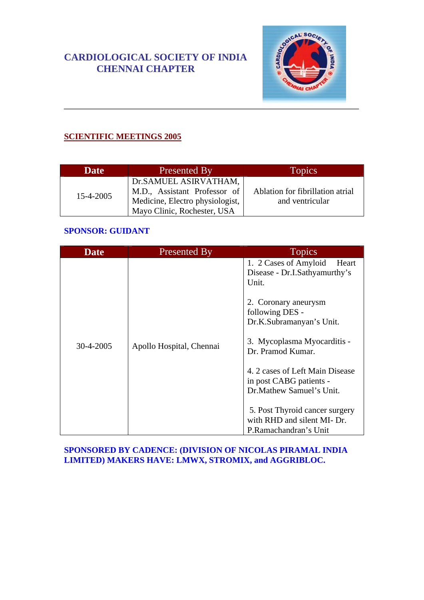# **CARDIOLOGICAL SOCIETY OF INDIA CHENNAI CHAPTER**



## **SCIENTIFIC MEETINGS 2005**

| <b>Date</b> | Presented By                                                                                                            | Topics <sup>1</sup>                                 |
|-------------|-------------------------------------------------------------------------------------------------------------------------|-----------------------------------------------------|
| 15-4-2005   | Dr.SAMUEL ASIRVATHAM,<br>M.D., Assistant Professor of<br>Medicine, Electro physiologist,<br>Mayo Clinic, Rochester, USA | Ablation for fibrillation atrial<br>and ventricular |

### **SPONSOR: GUIDANT**

| Date      | Presented By             | <b>Topics</b>                                                                                                       |
|-----------|--------------------------|---------------------------------------------------------------------------------------------------------------------|
| 30-4-2005 | Apollo Hospital, Chennai | 1. 2 Cases of Amyloid<br>Heart<br>Disease - Dr.I.Sathyamurthy's<br>Unit.<br>2. Coronary aneurysm<br>following DES - |
|           |                          | Dr.K.Subramanyan's Unit.<br>3. Mycoplasma Myocarditis -<br>Dr. Pramod Kumar.                                        |
|           |                          | 4. 2 cases of Left Main Disease<br>in post CABG patients -<br>Dr. Mathew Samuel's Unit.                             |
|           |                          | 5. Post Thyroid cancer surgery<br>with RHD and silent MI- Dr.<br>P.Ramachandran's Unit                              |

#### **SPONSORED BY CADENCE: (DIVISION OF NICOLAS PIRAMAL INDIA LIMITED) MAKERS HAVE: LMWX, STROMIX, and AGGRIBLOC.**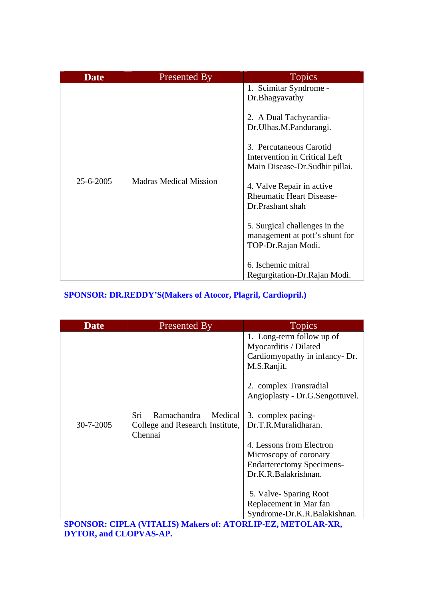| <b>Date</b> | <b>Presented By</b>           | <b>Topics</b>                                                                                                                                                                                                                                                                                                                                                                                                                   |
|-------------|-------------------------------|---------------------------------------------------------------------------------------------------------------------------------------------------------------------------------------------------------------------------------------------------------------------------------------------------------------------------------------------------------------------------------------------------------------------------------|
| 25-6-2005   | <b>Madras Medical Mission</b> | 1. Scimitar Syndrome -<br>Dr.Bhagyavathy<br>2. A Dual Tachycardia-<br>Dr.Ulhas.M.Pandurangi.<br>3. Percutaneous Carotid<br>Intervention in Critical Left<br>Main Disease-Dr. Sudhir pillai.<br>4. Valve Repair in active<br><b>Rheumatic Heart Disease-</b><br>Dr.Prashant shah<br>5. Surgical challenges in the<br>management at pott's shunt for<br>TOP-Dr.Rajan Modi.<br>6. Ischemic mitral<br>Regurgitation-Dr. Rajan Modi. |

# **SPONSOR: DR.REDDY'S(Makers of Atocor, Plagril, Cardiopril.)**

| <b>Date</b> | Presented By                                                                | <b>Topics</b>                                                                                                                                                                                                                                                                                                                                                                                                       |
|-------------|-----------------------------------------------------------------------------|---------------------------------------------------------------------------------------------------------------------------------------------------------------------------------------------------------------------------------------------------------------------------------------------------------------------------------------------------------------------------------------------------------------------|
| 30-7-2005   | Ramachandra<br>Sri<br>Medical<br>College and Research Institute,<br>Chennai | 1. Long-term follow up of<br>Myocarditis / Dilated<br>Cardiomyopathy in infancy- Dr.<br>M.S.Ranjit.<br>2. complex Transradial<br>Angioplasty - Dr.G.Sengottuvel.<br>3. complex pacing-<br>Dr.T.R.Muralidharan.<br>4. Lessons from Electron<br>Microscopy of coronary<br><b>Endarterectomy Specimens-</b><br>Dr.K.R.Balakrishnan.<br>5. Valve-Sparing Root<br>Replacement in Mar fan<br>Syndrome-Dr.K.R.Balakishnan. |

**SPONSOR: CIPLA (VITALIS) Makers of: ATORLIP-EZ, METOLAR-XR, DYTOR, and CLOPVAS-AP.**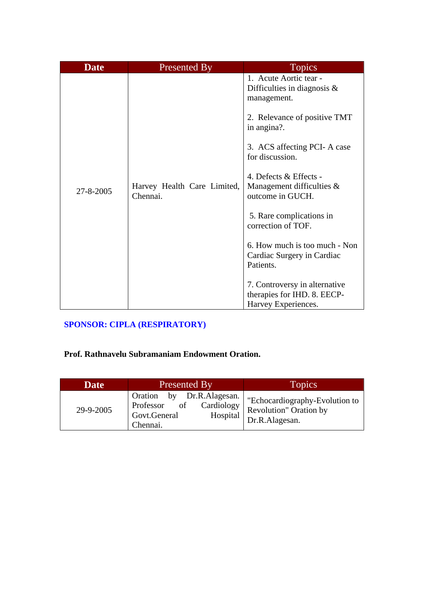| <b>Date</b> | <b>Presented By</b>                     | <b>Topics</b>                                                                                                                                                                                                                                                                                                                                                                                                                                                             |
|-------------|-----------------------------------------|---------------------------------------------------------------------------------------------------------------------------------------------------------------------------------------------------------------------------------------------------------------------------------------------------------------------------------------------------------------------------------------------------------------------------------------------------------------------------|
| 27-8-2005   | Harvey Health Care Limited,<br>Chennai. | 1. Acute Aortic tear -<br>Difficulties in diagnosis $\&$<br>management.<br>2. Relevance of positive TMT<br>in angina?.<br>3. ACS affecting PCI- A case<br>for discussion.<br>4. Defects & Effects -<br>Management difficulties &<br>outcome in GUCH.<br>5. Rare complications in<br>correction of TOF.<br>6. How much is too much - Non<br>Cardiac Surgery in Cardiac<br>Patients.<br>7. Controversy in alternative<br>therapies for IHD. 8. EECP-<br>Harvey Experiences. |

## **SPONSOR: CIPLA (RESPIRATORY)**

## **Prof. Rathnavelu Subramaniam Endowment Oration.**

| <b>Date</b> | Presented By                                                                                                    | <b>Topics</b>                                                              |
|-------------|-----------------------------------------------------------------------------------------------------------------|----------------------------------------------------------------------------|
| 29-9-2005   | by<br>Dr.R.Alagesan.<br><b>Oration</b><br>of<br>Professor<br>Cardiology<br>Govt.General<br>Hospital<br>Chennai. | "Echocardiography-Evolution to<br>Revolution" Oration by<br>Dr.R.Alagesan. |